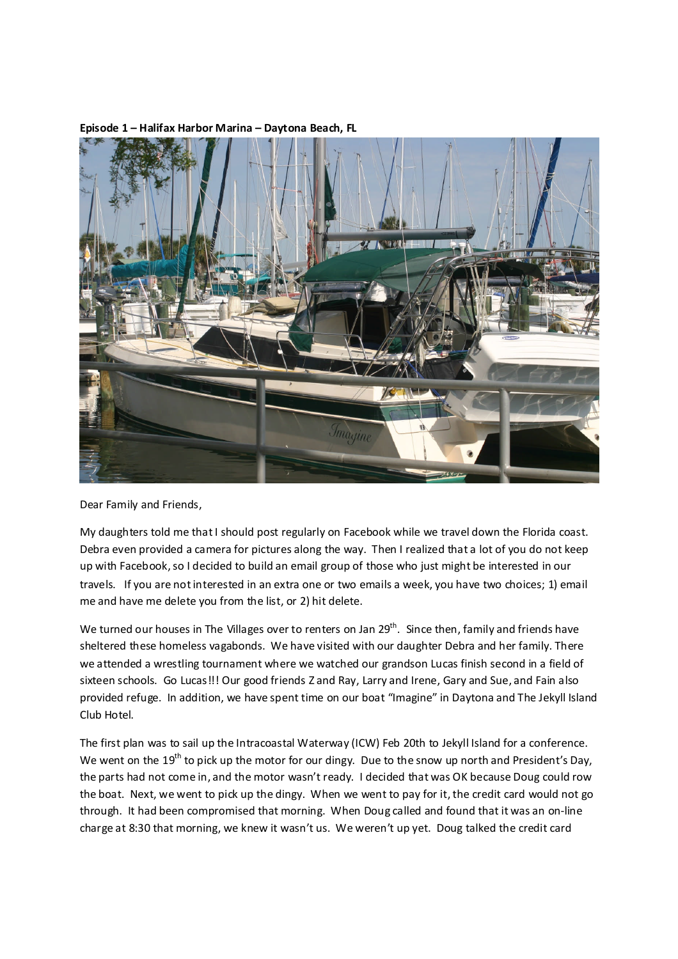

## **Episode 1 – Halifax Harbor Marina – Daytona Beach, FL**

Dear Family and Friends,

My daughters told me that I should post regularly on Facebook while we travel down the Florida coast. Debra even provided a camera for pictures along the way. Then I realized that a lot of you do not keep up with Facebook, so I decided to build an email group of those who just might be interested in our travels. If you are not interested in an extra one or two emails a week, you have two choices; 1) email me and have me delete you from the list, or 2) hit delete.

We turned our houses in The Villages over to renters on Jan 29<sup>th</sup>. Since then, family and friends have sheltered these homeless vagabonds. We have visited with our daughter Debra and her family. There we attended a wrestling tournament where we watched our grandson Lucas finish second in a field of sixteen schools. Go Lucas!!! Our good friends Z and Ray, Larry and Irene, Gary and Sue, and Fain also provided refuge. In addition, we have spent time on our boat "Imagine" in Daytona and The Jekyll Island Club Hotel.

The first plan was to sail up the Intracoastal Waterway (ICW) Feb 20th to Jekyll Island for a conference. We went on the 19<sup>th</sup> to pick up the motor for our dingy. Due to the snow up north and President's Day, the parts had not come in, and the motor wasn't ready. I decided that was OK because Doug could row the boat. Next, we went to pick up the dingy. When we went to pay for it, the credit card would not go through. It had been compromised that morning. When Doug called and found that it was an on-line charge at 8:30 that morning, we knew it wasn't us. We weren't up yet. Doug talked the credit card